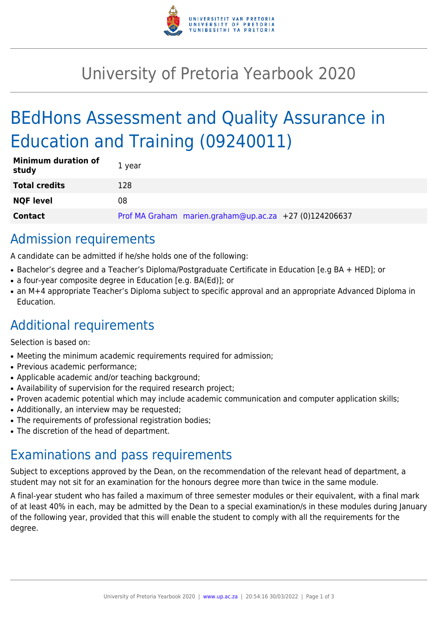

# University of Pretoria Yearbook 2020

# BEdHons Assessment and Quality Assurance in Education and Training (09240011)

| <b>Minimum duration of</b><br>study | 1 year                                                 |
|-------------------------------------|--------------------------------------------------------|
| <b>Total credits</b>                | 128                                                    |
| <b>NQF level</b>                    | 08                                                     |
| <b>Contact</b>                      | Prof MA Graham marien.graham@up.ac.za +27 (0)124206637 |

# Admission requirements

A candidate can be admitted if he/she holds one of the following:

- Bachelor's degree and a Teacher's Diploma/Postgraduate Certificate in Education [e.g BA + HED]; or
- a four-year composite degree in Education [e.g. BA(Ed)]; or
- an M+4 appropriate Teacher's Diploma subject to specific approval and an appropriate Advanced Diploma in Education.

# Additional requirements

Selection is based on:

- Meeting the minimum academic requirements required for admission;
- Previous academic performance:
- Applicable academic and/or teaching background;
- Availability of supervision for the required research project;
- Proven academic potential which may include academic communication and computer application skills;
- Additionally, an interview may be requested;
- The requirements of professional registration bodies;
- The discretion of the head of department.

## Examinations and pass requirements

Subject to exceptions approved by the Dean, on the recommendation of the relevant head of department, a student may not sit for an examination for the honours degree more than twice in the same module.

A final-year student who has failed a maximum of three semester modules or their equivalent, with a final mark of at least 40% in each, may be admitted by the Dean to a special examination/s in these modules during January of the following year, provided that this will enable the student to comply with all the requirements for the degree.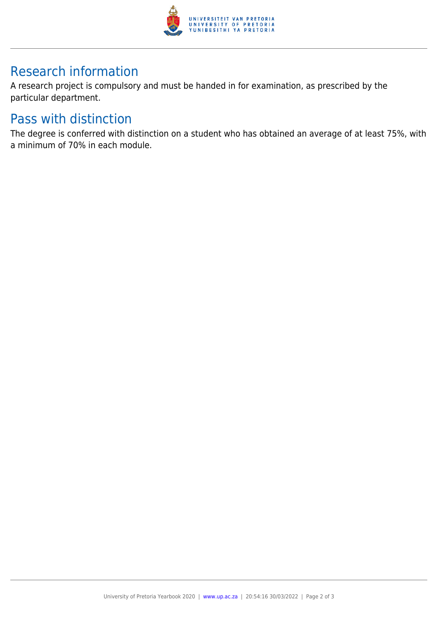

# Research information

A research project is compulsory and must be handed in for examination, as prescribed by the particular department.

## Pass with distinction

The degree is conferred with distinction on a student who has obtained an average of at least 75%, with a minimum of 70% in each module.